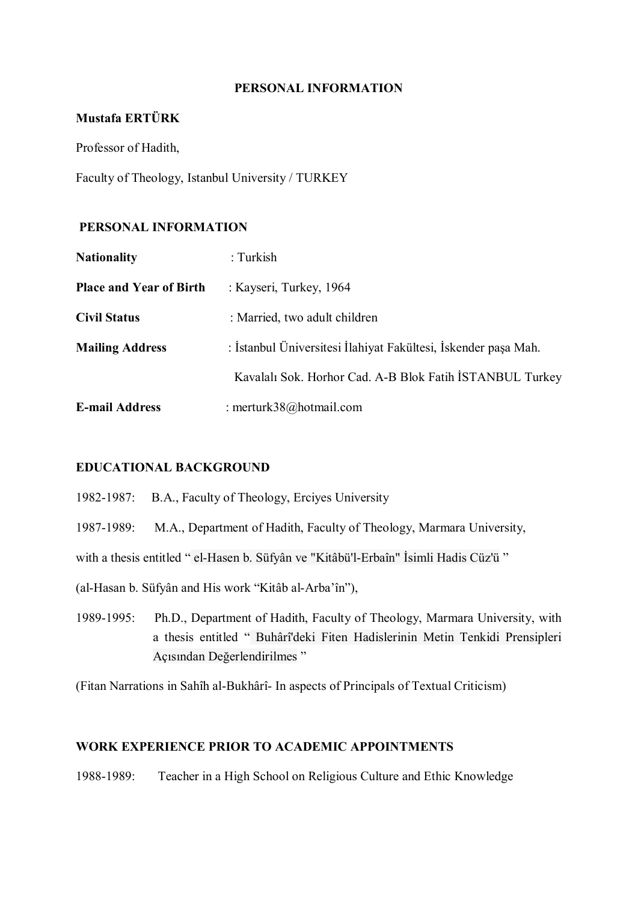## **PERSONAL INFORMATION**

## **Mustafa ERTÜRK**

Professor of Hadith,

Faculty of Theology, Istanbul University / TURKEY

### **PERSONAL INFORMATION**

| <b>Nationality</b>             | $:$ Turkish                                                    |
|--------------------------------|----------------------------------------------------------------|
| <b>Place and Year of Birth</b> | : Kayseri, Turkey, 1964                                        |
| <b>Civil Status</b>            | : Married, two adult children                                  |
| <b>Mailing Address</b>         | : İstanbul Üniversitesi İlahiyat Fakültesi, İskender paşa Mah. |
|                                | Kavalalı Sok. Horhor Cad. A-B Blok Fatih İSTANBUL Turkey       |
| <b>E-mail Address</b>          | : merturk38@hotmail.com                                        |

### **EDUCATIONAL BACKGROUND**

1982-1987: B.A., Faculty of Theology, Erciyes University

1987-1989: M.A., Department of Hadith, Faculty of Theology, Marmara University,

with a thesis entitled " el-Hasen b. Süfyân ve "Kitâbü'l-Erbaîn" İsimli Hadis Cüz'ü "

(al-Hasan b. Süfyân and His work "Kitâb al-Arba'în"),

1989-1995: Ph.D., Department of Hadith, Faculty of Theology, Marmara University, with a thesis entitled " Buhârî'deki Fiten Hadislerinin Metin Tenkidi Prensipleri Açısından Değerlendirilmes "

(Fitan Narrations in Sahîh al-Bukhârî- In aspects of Principals of Textual Criticism)

## **WORK EXPERIENCE PRIOR TO ACADEMIC APPOINTMENTS**

1988-1989: Teacher in a High School on Religious Culture and Ethic Knowledge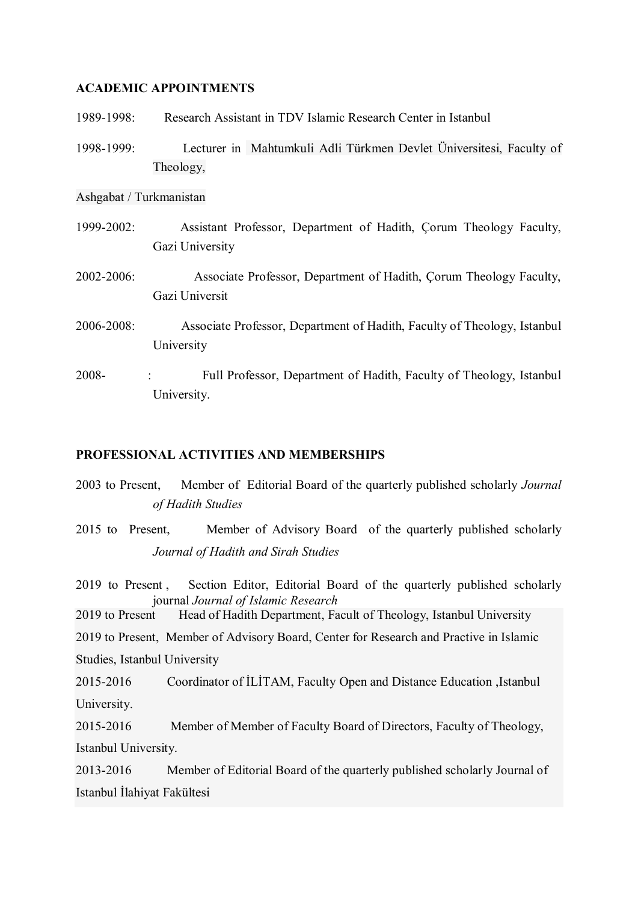### **ACADEMIC APPOINTMENTS**

- 1989-1998: Research Assistant in TDV Islamic Research Center in Istanbul
- 1998-1999: Lecturer in Mahtumkuli Adli Türkmen Devlet Üniversitesi, Faculty of Theology,

### Ashgabat / Turkmanistan

- 1999-2002: Assistant Professor, Department of Hadith, Çorum Theology Faculty, Gazi University
- 2002-2006: Associate Professor, Department of Hadith, Çorum Theology Faculty, Gazi Universit
- 2006-2008: Associate Professor, Department of Hadith, Faculty of Theology, Istanbul University
- 2008- : Full Professor, Department of Hadith, Faculty of Theology, Istanbul University.

### **PROFESSIONAL ACTIVITIES AND MEMBERSHIPS**

- 2003 to Present, Member of Editorial Board of the quarterly published scholarly *Journal of Hadith Studies*
- 2015 to Present, Member of Advisory Board of the quarterly published scholarly *Journal of Hadith and Sirah Studies*

2019 to Present , Section Editor, Editorial Board of the quarterly published scholarly journal *Journal of Islamic Research*

2019 to Present Head of Hadith Department, Facult of Theology, Istanbul University

2019 to Present, Member of Advisory Board, Center for Research and Practive in Islamic

Studies, Istanbul University

2015-2016 Coordinator of İLİTAM, Faculty Open and Distance Education ,Istanbul University.

2015-2016 Member of Member of Faculty Board of Directors, Faculty of Theology, Istanbul University.

2013-2016 Member of Editorial Board of the quarterly published scholarly Journal of Istanbul İlahiyat Fakültesi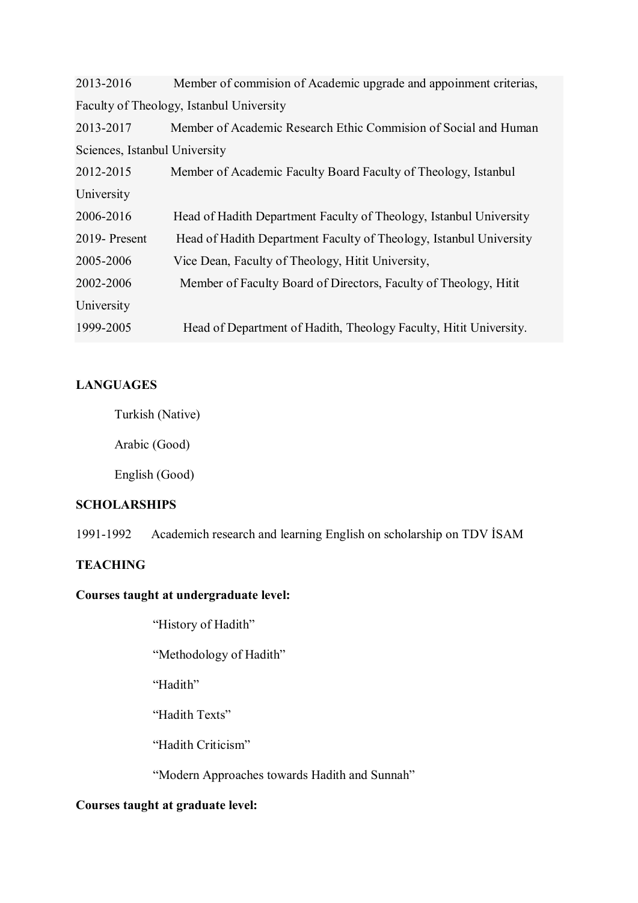| 2013-2016                                | Member of commision of Academic upgrade and appoinment criterias,  |
|------------------------------------------|--------------------------------------------------------------------|
| Faculty of Theology, Istanbul University |                                                                    |
| 2013-2017                                | Member of Academic Research Ethic Commision of Social and Human    |
| Sciences, Istanbul University            |                                                                    |
| 2012-2015                                | Member of Academic Faculty Board Faculty of Theology, Istanbul     |
| University                               |                                                                    |
| 2006-2016                                | Head of Hadith Department Faculty of Theology, Istanbul University |
| 2019-Present                             | Head of Hadith Department Faculty of Theology, Istanbul University |
| 2005-2006                                | Vice Dean, Faculty of Theology, Hitit University,                  |
| 2002-2006                                | Member of Faculty Board of Directors, Faculty of Theology, Hitit   |
| University                               |                                                                    |
| 1999-2005                                | Head of Department of Hadith, Theology Faculty, Hitit University.  |
|                                          |                                                                    |

## **LANGUAGES**

Turkish (Native)

Arabic (Good)

English (Good)

## **SCHOLARSHIPS**

1991-1992 Academich research and learning English on scholarship on TDV İSAM

## **TEACHING**

## **Courses taught at undergraduate level:**

- "History of Hadith"
- "Methodology of Hadith"
- "Hadith"
- "Hadith Texts"

"Hadith Criticism"

"Modern Approaches towards Hadith and Sunnah"

# **Courses taught at graduate level:**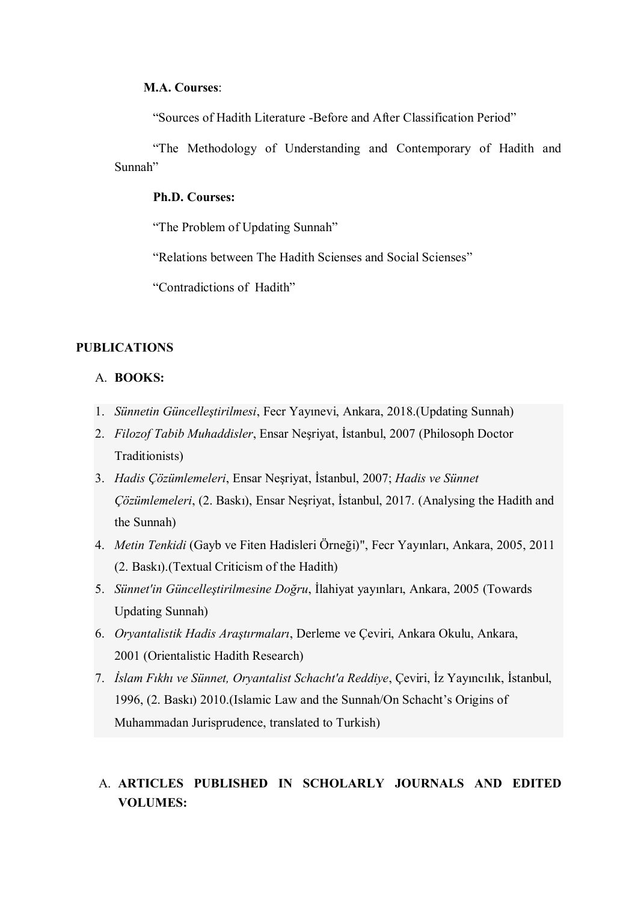#### **M.A. Courses**:

"Sources of Hadith Literature -Before and After Classification Period"

"The Methodology of Understanding and Contemporary of Hadith and Sunnah"

### **Ph.D. Courses:**

"The Problem of Updating Sunnah"

"Relations between The Hadith Scienses and Social Scienses"

"Contradictions of Hadith"

### **PUBLICATIONS**

### A. **BOOKS:**

- 1. *Sünnetin Güncelleştirilmesi*, Fecr Yayınevi, Ankara, 2018.(Updating Sunnah)
- 2. *Filozof Tabib Muhaddisler*, Ensar Neşriyat, İstanbul, 2007 (Philosoph Doctor Traditionists)
- 3. *Hadis Çözümlemeleri*, Ensar Neşriyat, İstanbul, 2007; *Hadis ve Sünnet Çözümlemeleri*, (2. Baskı), Ensar Neşriyat, İstanbul, 2017. (Analysing the Hadith and the Sunnah)
- 4. *Metin Tenkidi* (Gayb ve Fiten Hadisleri Örneği)", Fecr Yayınları, Ankara, 2005, 2011 (2. Baskı).(Textual Criticism of the Hadith)
- 5. *Sünnet'in Güncelleştirilmesine Doğru*, İlahiyat yayınları, Ankara, 2005 (Towards Updating Sunnah)
- 6. *Oryantalistik Hadis Araştırmaları*, Derleme ve Çeviri, Ankara Okulu, Ankara, 2001 (Orientalistic Hadith Research)
- 7. *İslam Fıkhı ve Sünnet, Oryantalist Schacht'a Reddiye*, Çeviri, İz Yayıncılık, İstanbul, 1996, (2. Baskı) 2010.(Islamic Law and the Sunnah/On Schacht's Origins of Muhammadan Jurisprudence, translated to Turkish)

# A. **ARTICLES PUBLISHED IN SCHOLARLY JOURNALS AND EDITED VOLUMES:**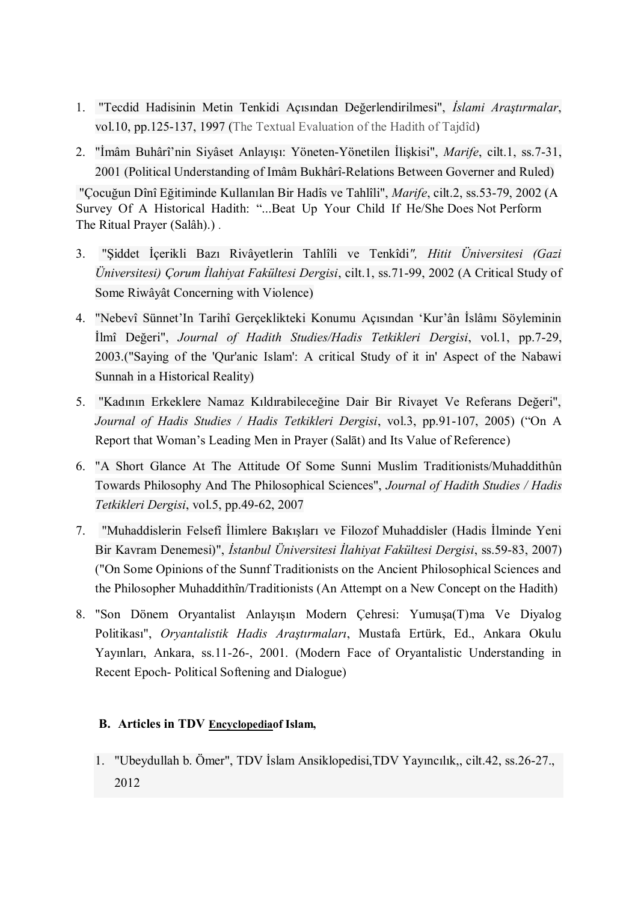- 1. "Tecdid Hadisinin Metin Tenkidi Açısından Değerlendirilmesi", *İslami Araştırmalar*, vol.10, pp.125-137, 1997 (The Textual Evaluation of the Hadith of Tajdîd)
- 2. "İmâm Buhârî'nin Siyâset Anlayışı: Yöneten-Yönetilen İlişkisi", *Marife*, cilt.1, ss.7-31, 2001 (Political Understanding of Imâm Bukhârî-Relations Between Governer and Ruled)

"Çocuğun Dînî Eğitiminde Kullanılan Bir Hadîs ve Tahlîli", *Marife*, cilt.2, ss.53-79, 2002 (A Survey Of A Historical Hadith: "...Beat Up Your Child If He/She Does Not Perform The Ritual Prayer (Salâh).) .

- 3. "Şiddet İçerikli Bazı Rivâyetlerin Tahlîli ve Tenkîdi*", Hitit Üniversitesi (Gazi Üniversitesi) Çorum İlahiyat Fakültesi Dergisi*, cilt.1, ss.71-99, 2002 (A Critical Study of Some Riwâyât Concerning with Violence)
- 4. "Nebevî Sünnet'In Tarihî Gerçeklikteki Konumu Açısından 'Kur'ân İslâmı Söyleminin İlmî Değeri", *Journal of Hadith Studies/Hadis Tetkikleri Dergisi*, vol.1, pp.7-29, 2003.("Saying of the 'Qur'anic Islam': A critical Study of it in' Aspect of the Nabawi Sunnah in a Historical Reality)
- 5. "Kadının Erkeklere Namaz Kıldırabileceğine Dair Bir Rivayet Ve Referans Değeri", *Journal of Hadis Studies / Hadis Tetkikleri Dergisi*, vol.3, pp.91-107, 2005) ("On A Report that Woman's Leading Men in Prayer (Salāt) and Its Value of Reference)
- 6. "A Short Glance At The Attitude Of Some Sunni Muslim Traditionists/Muhaddithûn Towards Philosophy And The Philosophical Sciences", *Journal of Hadith Studies / Hadis Tetkikleri Dergisi*, vol.5, pp.49-62, 2007
- 7. "Muhaddislerin Felsefî İlimlere Bakışları ve Filozof Muhaddisler (Hadis İlminde Yeni Bir Kavram Denemesi)", *İstanbul Üniversitesi İlahiyat Fakültesi Dergisi*, ss.59-83, 2007) ("On Some Opinions of the Sunnf Traditionists on the Ancient Philosophical Sciences and the Philosopher Muhaddithîn/Traditionists (An Attempt on a New Concept on the Hadith)
- 8. "Son Dönem Oryantalist Anlayışın Modern Çehresi: Yumuşa(T)ma Ve Diyalog Politikası", *Oryantalistik Hadis Araştırmaları*, Mustafa Ertürk, Ed., Ankara Okulu Yayınları, Ankara, ss.11-26-, 2001. (Modern Face of Oryantalistic Understanding in Recent Epoch- Political Softening and Dialogue)

## **B. Articles in TDV Encyclopediaof Islam,**

1. "Ubeydullah b. Ömer", TDV İslam Ansiklopedisi,TDV Yayıncılık,, cilt.42, ss.26-27., 2012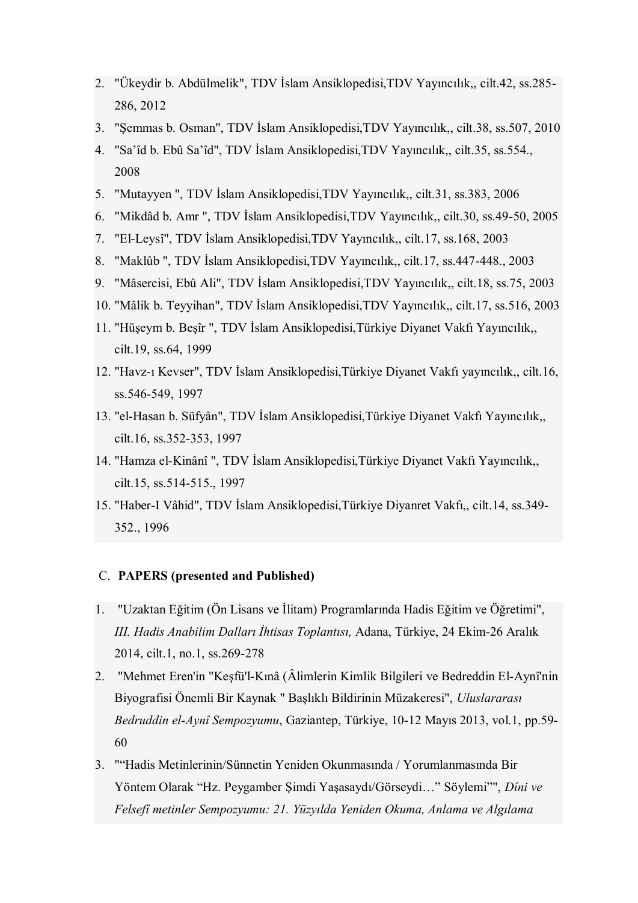- 2. "Ükeydir b. Abdülmelik", TDV İslam Ansiklopedisi,TDV Yayıncılık,, cilt.42, ss.285- 286, 2012
- 3. "Şemmas b. Osman", TDV İslam Ansiklopedisi,TDV Yayıncılık,, cilt.38, ss.507, 2010
- 4. "Sa'îd b. Ebû Sa'îd", TDV İslam Ansiklopedisi,TDV Yayıncılık,, cilt.35, ss.554., 2008
- 5. "Mutayyen ", TDV İslam Ansiklopedisi,TDV Yayıncılık,, cilt.31, ss.383, 2006
- 6. "Mikdâd b. Amr ", TDV İslam Ansiklopedisi,TDV Yayıncılık,, cilt.30, ss.49-50, 2005
- 7. "El-Leysî", TDV İslam Ansiklopedisi,TDV Yayıncılık,, cilt.17, ss.168, 2003
- 8. "Maklûb ", TDV İslam Ansiklopedisi,TDV Yayıncılık,, cilt.17, ss.447-448., 2003
- 9. "Mâsercisi, Ebû Ali", TDV İslam Ansiklopedisi,TDV Yayıncılık,, cilt.18, ss.75, 2003
- 10. "Mâlik b. Teyyihan", TDV İslam Ansiklopedisi,TDV Yayıncılık,, cilt.17, ss.516, 2003
- 11. "Hüşeym b. Beşîr ", TDV İslam Ansiklopedisi,Türkiye Diyanet Vakfı Yayıncılık,, cilt.19, ss.64, 1999
- 12. "Havz-ı Kevser", TDV İslam Ansiklopedisi,Türkiye Diyanet Vakfı yayıncılık,, cilt.16, ss.546-549, 1997
- 13. "el-Hasan b. Süfyân", TDV İslam Ansiklopedisi,Türkiye Diyanet Vakfı Yayıncılık,, cilt.16, ss.352-353, 1997
- 14. "Hamza el-Kinânî ", TDV İslam Ansiklopedisi,Türkiye Diyanet Vakfı Yayıncılık,, cilt.15, ss.514-515., 1997
- 15. "Haber-I Vâhid", TDV İslam Ansiklopedisi,Türkiye Diyanret Vakfı,, cilt.14, ss.349- 352., 1996

### C. **PAPERS (presented and Published)**

- 1. "Uzaktan Eğitim (Ön Lisans ve İlitam) Programlarında Hadis Eğitim ve Öğretimi", *III. Hadis Anabilim Dalları İhtisas Toplantısı,* Adana, Türkiye, 24 Ekim-26 Aralık 2014, cilt.1, no.1, ss.269-278
- 2. "Mehmet Eren'in "Keşfü'l-Kınâ (Âlimlerin Kimlik Bilgileri ve Bedreddin El-Aynî'nin Biyografisi Önemli Bir Kaynak " Başlıklı Bildirinin Müzakeresi", *Uluslararası Bedruddin el-Aynî Sempozyumu*, Gaziantep, Türkiye, 10-12 Mayıs 2013, vol.1, pp.59- 60
- 3. ""Hadis Metinlerinin/Sünnetin Yeniden Okunmasında / Yorumlanmasında Bir Yöntem Olarak "Hz. Peygamber Şimdi Yaşasaydı/Görseydi…" Söylemi"", *Dîni ve Felsefî metinler Sempozyumu: 21. Yüzyılda Yeniden Okuma, Anlama ve Algılama*